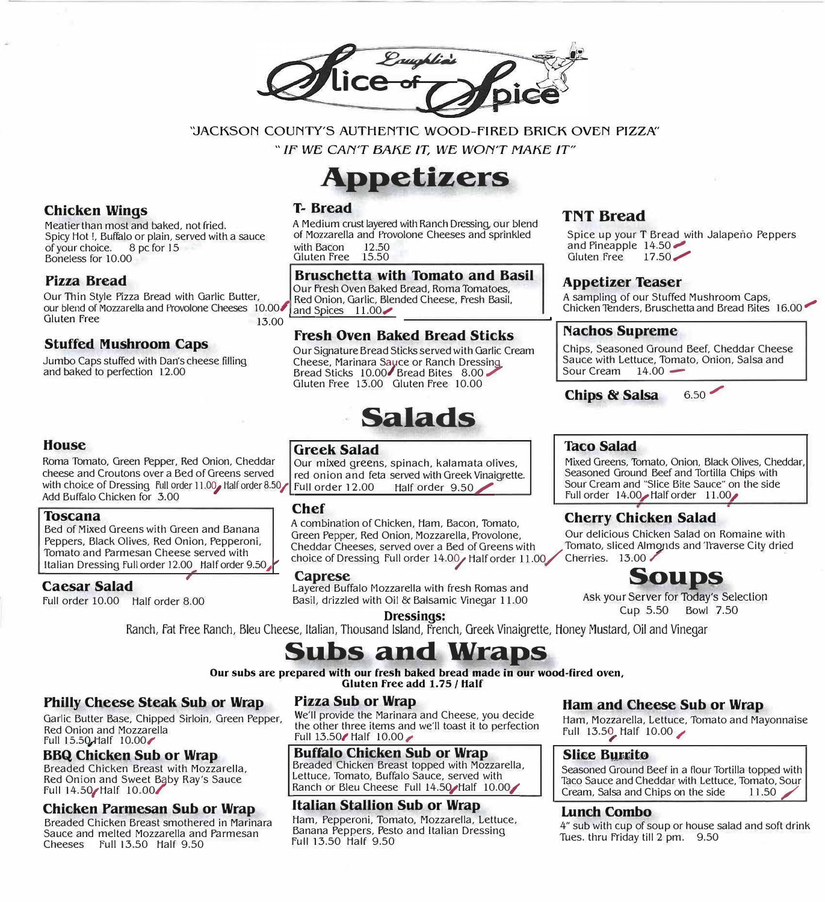lice of p

'JACKSON COUNTY'S AUTHENTIC WOOD-FIRED BRICK OVEN PIZZA"

" IF WE CAN'T BAKE IT, WE WON'T MAKE IT"

# **Appetizers**

# **Chicken Wings**

Meatier than most and baked, not fried. Spicy Hot !, Buffalo or plain, served with a sauce of your choice. 8 pc for 15 Boneless for 10.00

# **Pizza Bread**

**House** 

**Toscana** 

**Caesar Salad** 

Our Thin Style Pizza Bread with Garlic Butter,<br>our blend of Mozzarella and Provolone Cheeses 10.00 and Spices 11.00 our blend of Mozzarella and Provolone Cheeses 10.00<br>Gluten Free 15.00 Gluten Free  $\frac{13.00}{13.00}$ 

with choice of Dressing Full order 11.00, Half order 8.50

Bed of Mixed Greens with Green and Banana Peppers, Black Olives, Red Onion, Pepperoni, Tomato and Parmesan Cheese served with Italian Dressing Full order 12.00 Half order 9.50

# **Stuffed Mushroom Caps**

Add Buffalo Chicken for 3.00

Full order 10.00 Half order 8.00

Jumbo Caps stuffed with Dan's cheese filling and baked to perfection 12.00

# **T- Bread**

A Medium crust layered with Ranch Dressing, our blend of Mozzarella and Provolone Cheeses and sprinkled with Bacon 12.50 Gluten free 15.50

### **Bruschetta with Tomato and Basil**

**Appetizer Teaser**<br>Our Fresh Oven Baked Bread, Roma Tomatoes, **Appetizer Teaser** 

# **fresh Oven Baked Bread Sticks**

Our Signature Bread Sticks served with Garlic Cream Cheese, Marinara Sayce or Kanch Dressing, Cheese, Marinara Sauce or Ranch Dressing<br>Bread Sticks 10.00 Bread Bites 8.00 Gluten free 13.00 Gluten free 10.00

# **Salads**

# **Greek Salad**

Roma Tomato, Green Pepper, Red Onion, Cheddar  $\overline{\phantom{a}}$  Our mixed greens, spinach, k alamata olives, cheese and Croutons over a Bed of Greens served  $\overline{\phantom{a}}$  red onion and feta served with Greek Vinaigrette red onion and feta served with Greek Vinaigrette.<br>Full order 12.00 Half order 9.50

# **Chef**

A combination of Chicken, Ham, Bacon, Tomato, **Cherry Chicken Salad**  Green Pepper, Red Onion, Mozzarella, Provolone, Our delicious Chicken Salad on Romaine with<br>Cheddar Cheeses, served over a Bed of Greens with Tomato, sliced Almonds and Traverse City dried Cheddar Cheeses, served over a Bed of Greens with Tomato, sliced Alm<br>choice of Dressing Full order 14.00 / Half order 11.00 / Cherries. 13.00 / choice of Dressing Full order 14.00 / Half order 11.00

**Caprese Soups**<br> **Example 3** 

### **Dressings:** Cup 5.50 Bowl 7.50 Ranch, Fat Free Ranch, Bleu Cheese, Italian, Thousand Island, French, Greek Vinaigrette, Honey Mustard, Oil and Vinegar

# **bs and Wraps**

**Our subs are prepared with our fresh baked bread made in our wood-fired oven, Gluten free add 1.75 / Half** 

# **Philly Cheese Steak Sub or Wrap**

Garlic Butter Base, Chipped Sirloin, Green Pepper, Red Onion and Mozzarella full 15.5Q,t1alf 10.00�

### **BBQ Chicken Sub or Wrap**

Breaded Chicken Breast with Mozzarella, Red Onion and Sweet Baby Ray's Sauce Full 14.50/Half 10.00/'

#### **Chicken Parmesan Sub or Wrap**

Breaded Chicken Breast smothered in Marinara Sauce and melted Mozzarella and Parmesan Cheeses full 13.50 Half 9.50

#### **Pizza Sub or Wrap**

We'll provide the Marinara and Cheese, you decide the other three items and we'll toast it to perfection Full  $13.50$  Half  $10.00$ 

#### **Buffalo Chicken Sub or Wrap**

Breaded Chicken Breast topped with Mozzarella, Lettuce, Tomato, Buffalo Sauce, served with Ranch or Bleu Cheese Full 14.50/Half 10.00/

### **Italian Stallion Sub or Wrap**

Ham, Pepperoni, Tomato, Mozzarella, Lettuce, Banana Peppers, Pesto and Italian Dressing Full 13.50 Half 9.50

# **TNT Bread**

Spice up your T Bread with Jalapeno Peppers and Pineapple 14.50 Gluten Free 17.50

A sampling of our Stuffed Mushroom Caps, Chicken Tenders, Bruschetta and Bread Bites 16.00

#### **Nachos Supreme**

Chips, Seasoned Ground Beef, Cheddar Cheese Sauce with Lettuce, Tomato, Onion, Salsa and Sour Cream  $14.00 -$ 

**Chips & Salsa** 6.50

# **Toco Salad**

Mixed Greens, Tomato, Onion, Black Olives, Cheddar, Seasoned Ground Beef and Tortilla Chips with Sour Cream and "Slice Bite Sauce" on the side Full order 14.00 Half order 11.00

Ask your Server for Today's Selection Basil, drizzled with Oil & Balsamic Vinegar 11.00 ASK your Server for Today's Selection Ask your Server for Today's Selection

# **Ham and Cheese Sub or Wrap**

Ham, Mozzarella, Lettuce, Tomato and Mayonnaise full 13.59, Half 10.00 /

### **Slice Burrito**

Seasoned Ground Beef in a flour Tortilla topped with Taco Sauce and Cheddar with Lettuce, Tomato, Sour<br>Cream, Salsa and Chips on the side 11.50 Cream, Salsa and Chips on the side

#### **Lunch Combo**

4" sub with cup of soup or house salad and soft drink Tues. thru Friday till 2 pm. 9.50